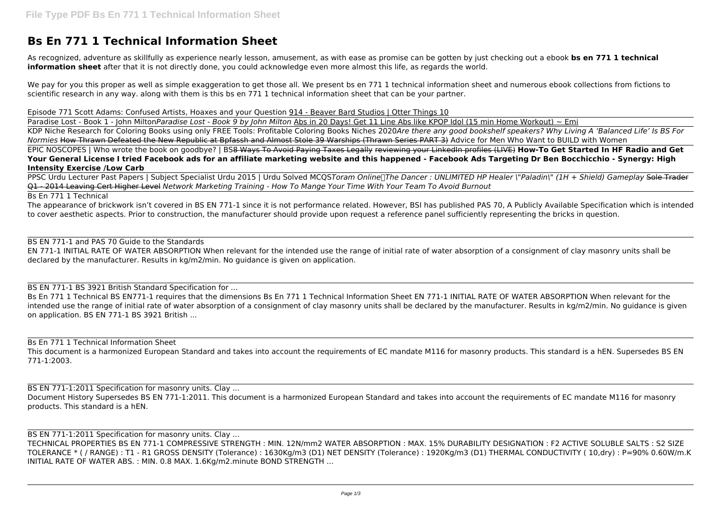# **Bs En 771 1 Technical Information Sheet**

As recognized, adventure as skillfully as experience nearly lesson, amusement, as with ease as promise can be gotten by just checking out a ebook **bs en 771 1 technical information sheet** after that it is not directly done, you could acknowledge even more almost this life, as regards the world.

We pay for you this proper as well as simple exaggeration to get those all. We present bs en 771 1 technical information sheet and numerous ebook collections from fictions to scientific research in any way. along with them is this bs en 771 1 technical information sheet that can be your partner.

Episode 771 Scott Adams: Confused Artists, Hoaxes and your Question 914 - Beaver Bard Studios | Otter Things 10

Paradise Lost - Book 1 - John Milton*Paradise Lost - Book 9 by John Milton* Abs in 20 Days! Get 11 Line Abs like KPOP Idol (15 min Home Workout) ~ Emi KDP Niche Research for Coloring Books using only FREE Tools: Profitable Coloring Books Niches 2020*Are there any good bookshelf speakers? Why Living A 'Balanced Life' Is BS For Normies* How Thrawn Defeated the New Republic at Bpfassh and Almost Stole 39 Warships (Thrawn Series PART 3) Advice for Men Who Want to BUILD with Women EPIC NOSCOPES | Who wrote the book on goodbye? | BS8 Ways To Avoid Paying Taxes Legally reviewing your LinkedIn profiles (LIVE) **How-To Get Started In HF Radio and Get Your General License I tried Facebook ads for an affiliate marketing website and this happened - Facebook Ads Targeting Dr Ben Bocchicchio - Synergy: High**

Bs En 771 1 Technical BS EN771-1 requires that the dimensions Bs En 771 1 Technical Information Sheet EN 771-1 INITIAL RATE OF WATER ABSORPTION When relevant for the intended use the range of initial rate of water absorption of a consignment of clay masonry units shall be declared by the manufacturer. Results in kg/m2/min. No guidance is given on application. BS EN 771-1 BS 3921 British ...

**Intensity Exercise /Low Carb**

BS EN 771-1:2011 Specification for masonry units. Clay ... Document History Supersedes BS EN 771-1:2011. This document is a harmonized European Standard and takes into account the requirements of EC mandate M116 for masonry products. This standard is a hEN.

PPSC Urdu Lecturer Past Papers | Subject Specialist Urdu 2015 | Urdu Solved MCQS*Toram Online|The Dancer : UNLIMITED HP Healer \"Paladin\" (1H + Shield) Gameplay* Sole Trader Q1 - 2014 Leaving Cert Higher Level *Network Marketing Training - How To Mange Your Time With Your Team To Avoid Burnout*

Bs En 771 1 Technical

BS EN 771-1:2011 Specification for masonry units. Clay ... TECHNICAL PROPERTIES BS EN 771-1 COMPRESSIVE STRENGTH : MIN. 12N/mm2 WATER ABSORPTION : MAX. 15% DURABILITY DESIGNATION : F2 ACTIVE SOLUBLE SALTS : S2 SIZE TOLERANCE \* ( / RANGE) : T1 - R1 GROSS DENSITY (Tolerance) : 1630Kg/m3 (D1) NET DENSITY (Tolerance) : 1920Kg/m3 (D1) THERMAL CONDUCTIVITY ( 10,dry) : P=90% 0.60W/m.K INITIAL RATE OF WATER ABS. : MIN. 0.8 MAX. 1.6Kg/m2.minute BOND STRENGTH ...

The appearance of brickwork isn't covered in BS EN 771-1 since it is not performance related. However, BSI has published PAS 70, A Publicly Available Specification which is intended to cover aesthetic aspects. Prior to construction, the manufacturer should provide upon request a reference panel sufficiently representing the bricks in question.

BS EN 771-1 and PAS 70 Guide to the Standards

EN 771-1 INITIAL RATE OF WATER ABSORPTION When relevant for the intended use the range of initial rate of water absorption of a consignment of clay masonry units shall be declared by the manufacturer. Results in kg/m2/min. No guidance is given on application.

BS EN 771-1 BS 3921 British Standard Specification for ...

Bs En 771 1 Technical Information Sheet

This document is a harmonized European Standard and takes into account the requirements of EC mandate M116 for masonry products. This standard is a hEN. Supersedes BS EN 771-1:2003.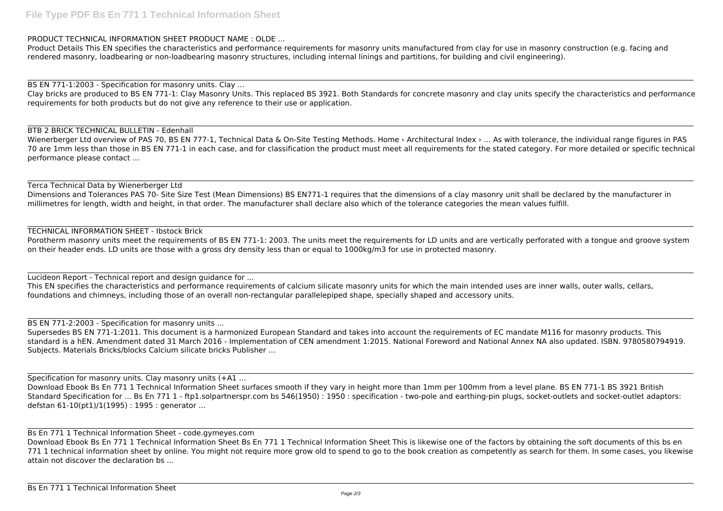### PRODUCT TECHNICAL INFORMATION SHEET PRODUCT NAME : OLDE ...

Product Details This EN specifies the characteristics and performance requirements for masonry units manufactured from clay for use in masonry construction (e.g. facing and rendered masonry, loadbearing or non-loadbearing masonry structures, including internal linings and partitions, for building and civil engineering).

BS EN 771-1:2003 - Specification for masonry units. Clay ...

Wienerberger Ltd overview of PAS 70, BS EN 777-1, Technical Data & On-Site Testing Methods. Home > Architectural Index > ... As with tolerance, the individual range figures in PAS 70 are 1mm less than those in BS EN 771-1 in each case, and for classification the product must meet all requirements for the stated category. For more detailed or specific technical performance please contact ...

Clay bricks are produced to BS EN 771-1: Clay Masonry Units. This replaced BS 3921. Both Standards for concrete masonry and clay units specify the characteristics and performance requirements for both products but do not give any reference to their use or application.

### BTB 2 BRICK TECHNICAL BULLETIN - Edenhall

### Terca Technical Data by Wienerberger Ltd

Supersedes BS EN 771-1:2011. This document is a harmonized European Standard and takes into account the requirements of EC mandate M116 for masonry products. This standard is a hEN. Amendment dated 31 March 2016 - Implementation of CEN amendment 1:2015. National Foreword and National Annex NA also updated. ISBN. 9780580794919. Subjects. Materials Bricks/blocks Calcium silicate bricks Publisher ...

Dimensions and Tolerances PAS 70- Site Size Test (Mean Dimensions) BS EN771-1 requires that the dimensions of a clay masonry unit shall be declared by the manufacturer in millimetres for length, width and height, in that order. The manufacturer shall declare also which of the tolerance categories the mean values fulfill.

## TECHNICAL INFORMATION SHEET - Ibstock Brick

Download Ebook Bs En 771 1 Technical Information Sheet surfaces smooth if they vary in height more than 1mm per 100mm from a level plane. BS EN 771-1 BS 3921 British Standard Specification for ... Bs En 771 1 - ftp1.solpartnerspr.com bs 546(1950) : 1950 : specification - two-pole and earthing-pin plugs, socket-outlets and socket-outlet adaptors: defstan 61-10(pt1)/1(1995) : 1995 : generator ...

Porotherm masonry units meet the requirements of BS EN 771-1: 2003. The units meet the requirements for LD units and are vertically perforated with a tongue and groove system on their header ends. LD units are those with a gross dry density less than or equal to 1000kg/m3 for use in protected masonry.

Lucideon Report - Technical report and design guidance for ...

This EN specifies the characteristics and performance requirements of calcium silicate masonry units for which the main intended uses are inner walls, outer walls, cellars, foundations and chimneys, including those of an overall non-rectangular parallelepiped shape, specially shaped and accessory units.

BS EN 771-2:2003 - Specification for masonry units ...

Specification for masonry units. Clay masonry units (+A1 ...

Bs En 771 1 Technical Information Sheet - code.gymeyes.com

Download Ebook Bs En 771 1 Technical Information Sheet Bs En 771 1 Technical Information Sheet This is likewise one of the factors by obtaining the soft documents of this bs en 771 1 technical information sheet by online. You might not require more grow old to spend to go to the book creation as competently as search for them. In some cases, you likewise attain not discover the declaration bs ...